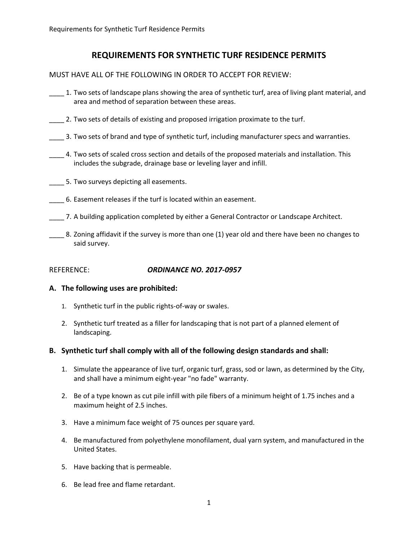# **REQUIREMENTS FOR SYNTHETIC TURF RESIDENCE PERMITS**

MUST HAVE ALL OF THE FOLLOWING IN ORDER TO ACCEPT FOR REVIEW:

- \_\_\_\_ 1. Two sets of landscape plans showing the area of synthetic turf, area of living plant material, and area and method of separation between these areas.
- \_\_\_\_ 2. Two sets of details of existing and proposed irrigation proximate to the turf.
- \_\_\_\_ 3. Two sets of brand and type of synthetic turf, including manufacturer specs and warranties.
- \_\_\_\_ 4. Two sets of scaled cross section and details of the proposed materials and installation. This includes the subgrade, drainage base or leveling layer and infill.
- \_\_\_\_ 5. Two surveys depicting all easements.
- \_\_\_\_ 6. Easement releases if the turf is located within an easement.
- \_\_\_\_ 7. A building application completed by either a General Contractor or Landscape Architect.
	- \_\_\_\_ 8. Zoning affidavit if the survey is more than one (1) year old and there have been no changes to said survey.

### REFERENCE: *ORDINANCE NO. 2017-0957*

#### **A. The following uses are prohibited:**

- 1. Synthetic turf in the public rights-of-way or swales.
- 2. Synthetic turf treated as a filler for landscaping that is not part of a planned element of landscaping.

#### **B. Synthetic turf shall comply with all of the following design standards and shall:**

- 1. Simulate the appearance of live turf, organic turf, grass, sod or lawn, as determined by the City, and shall have a minimum eight-year "no fade" warranty.
- 2. Be of a type known as cut pile infill with pile fibers of a minimum height of 1.75 inches and a maximum height of 2.5 inches.
- 3. Have a minimum face weight of 75 ounces per square yard.
- 4. Be manufactured from polyethylene monofilament, dual yarn system, and manufactured in the United States.
- 5. Have backing that is permeable.
- 6. Be lead free and flame retardant.